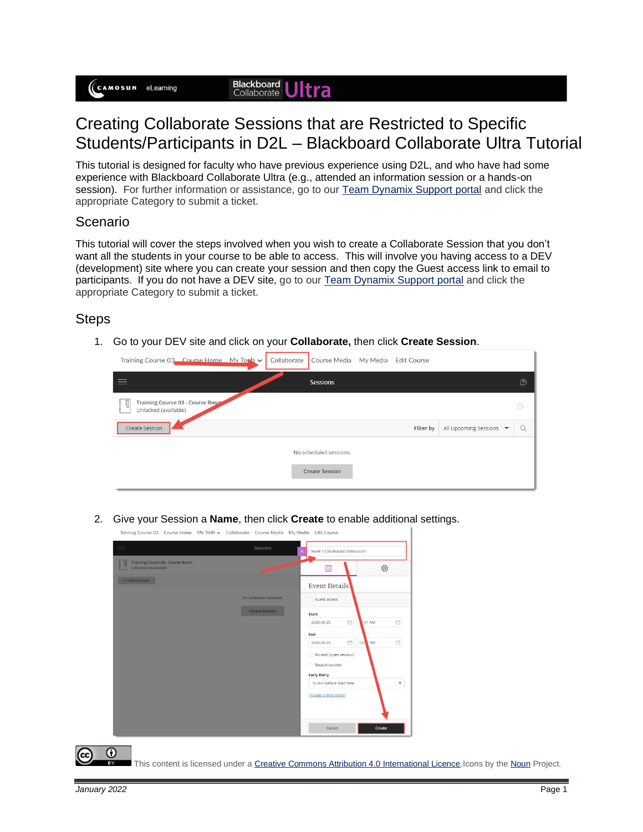## Creating Collaborate Sessions that are Restricted to Specific Students/Participants in D2L – Blackboard Collaborate Ultra Tutorial

This tutorial is designed for faculty who have previous experience using D2L, and who have had some experience with Blackboard Collaborate Ultra (e.g., attended an information session or a hands-on session). For further information or assistance, go to our [Team Dynamix Support portal](https://camosun.teamdynamix.com/TDClient/67/Portal/Requests/ServiceCatalog?CategoryID=523) and click the appropriate Category to submit a ticket.

## Scenario

This tutorial will cover the steps involved when you wish to create a Collaborate Session that you don't want all the students in your course to be able to access. This will involve you having access to a DEV (development) site where you can create your session and then copy the Guest access link to email to participants. If you do not have a DEV site, go to our [Team Dynamix Support portal](https://camosun.teamdynamix.com/TDClient/67/Portal/Requests/ServiceCatalog?CategoryID=523) and click the appropriate Category to submit a ticket.

## **Steps**

1. Go to your DEV site and click on your **Collaborate,** then click **Create Session**.



2. Give your Session a **Name**, then click **Create** to enable additional settings.

Training Course 03 Course Home My Tools v Collaborate Course Media My Media Edit Course



This content is licensed under [a Creative Commons Attribution 4.0 International Licence.I](https://creativecommons.org/licenses/by/4.0/)cons by th[e Noun](https://creativecommons.org/website-icons/) Project.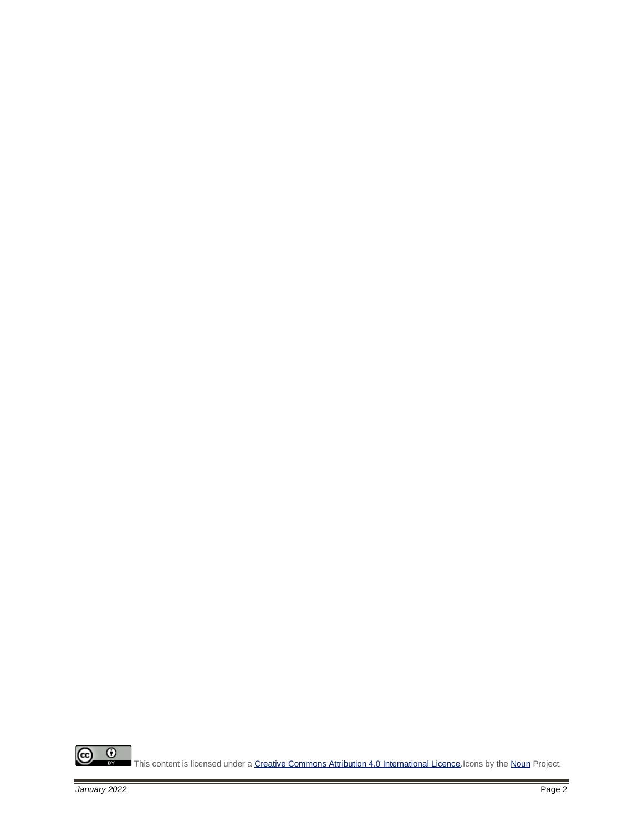

This content is licensed under [a Creative Commons Attribution 4.0 International Licence.I](https://creativecommons.org/licenses/by/4.0/)cons by th[e Noun](https://creativecommons.org/website-icons/) Project.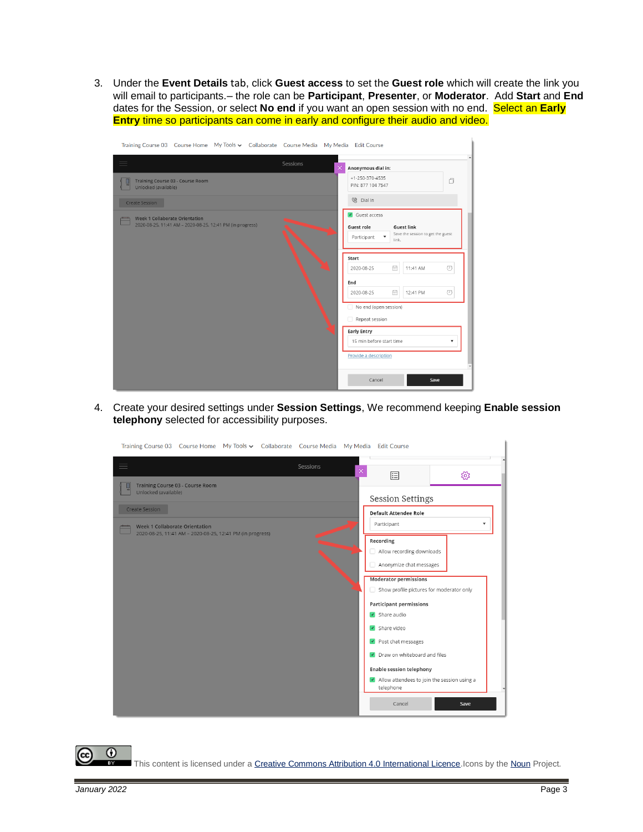3. Under the **Event Details** tab, click **Guest access** to set the **Guest role** which will create the link you will email to participants.– the role can be **Participant**, **Presenter**, or **Moderator**. Add **Start** and **End** dates for the Session, or select **No end** if you want an open session with no end. Select an **Early Entry** time so participants can come in early and configure their audio and video.



4. Create your desired settings under **Session Settings**, We recommend keeping **Enable session telephony** selected for accessibility purposes.

| Training Course 03 Course Home My Tools v Collaborate Course Media My Media Edit Course                                                      |          |          |                                                                                                                                                                                                                                                                                                                                                                                                                                                                                    |      |  |
|----------------------------------------------------------------------------------------------------------------------------------------------|----------|----------|------------------------------------------------------------------------------------------------------------------------------------------------------------------------------------------------------------------------------------------------------------------------------------------------------------------------------------------------------------------------------------------------------------------------------------------------------------------------------------|------|--|
| $\equiv$<br>Training Course 03 - Course Room                                                                                                 | Sessions | $\times$ | 目                                                                                                                                                                                                                                                                                                                                                                                                                                                                                  | ద్ర  |  |
| Unlocked (available)<br><b>Create Session</b><br>Week 1 Collaborate Orientation<br>2020-08-25, 11:41 AM - 2020-08-25, 12:41 PM (in progress) |          |          | <b>Session Settings</b><br>Default Attendee Role<br>Participant<br>Recording<br>Allow recording downloads<br>Anonymize chat messages<br><b>Moderator permissions</b><br>Show profile pictures for moderator only<br><b>Participant permissions</b><br>$\sqrt{ }$ Share audio<br>$\sqrt{\phantom{a}}$ Share video<br>Post chat messages<br>Draw on whiteboard and files<br><b>Enable session telephony</b><br>IV Allow attendees to join the session using a<br>telephone<br>Cancel | Save |  |
|                                                                                                                                              |          |          |                                                                                                                                                                                                                                                                                                                                                                                                                                                                                    |      |  |

 $\odot$ This content is licensed under [a Creative Commons Attribution 4.0 International Licence.I](https://creativecommons.org/licenses/by/4.0/)cons by th[e Noun](https://creativecommons.org/website-icons/) Project.